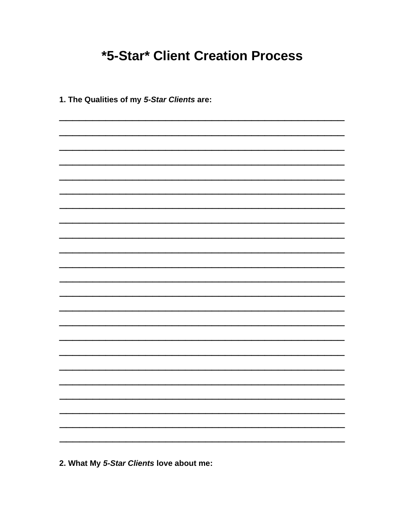## **\*5-Star\* Client Creation Process**

1. The Qualities of my 5-Star Clients are:

2. What My 5-Star Clients love about me: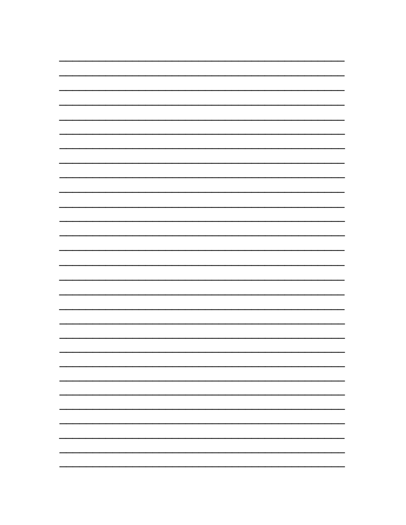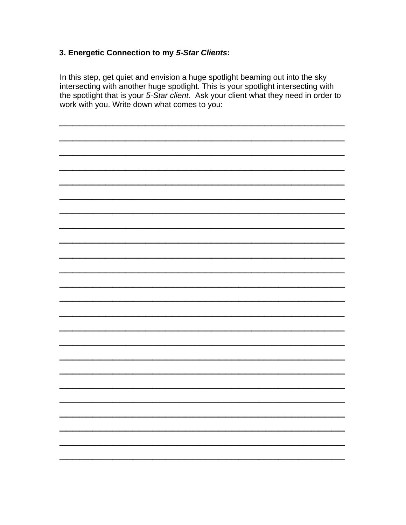## 3. Energetic Connection to my 5-Star Clients:

In this step, get quiet and envision a huge spotlight beaming out into the sky intersecting with another huge spotlight. This is your spotlight intersecting with the spotlight that is your 5-Star client. Ask your client what they need in order to work with you. Write down what comes to you:

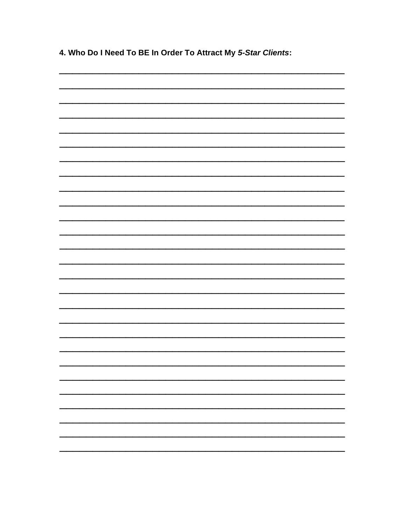4. Who Do I Need To BE In Order To Attract My 5-Star Clients: